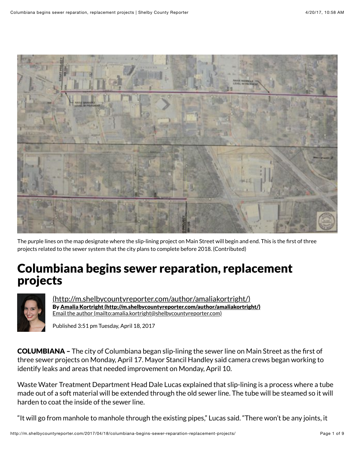

The purple lines on the map designate where the slip-lining project on Main Street will begin and end. This is the first of three projects related to the sewer system that the city plans to complete before 2018. (Contributed)

# Columbiana begins sewer reparation, replacement projects



(http://m.shelbycountyreporter.com/author/amaliakortright/) By Amalia Kortright (http://m.shelbycountyreporter.com/author/amaliakortright/) Email the author (mailto:amalia.kortright@shelbycountyreporter.com)

Published 3:51 pm Tuesday, April 18, 2017

COLUMBIANA – The city of Columbiana began slip-lining the sewer line on Main Street as the first of three sewer projects on Monday, April 17. Mayor Stancil Handley said camera crews began working to identify leaks and areas that needed improvement on Monday, April 10.

Waste Water Treatment Department Head Dale Lucas explained that slip-lining is a process where a tube made out of a soft material will be extended through the old sewer line. The tube will be steamed so it will harden to coat the inside of the sewer line.

"It will go from manhole to manhole through the existing pipes," Lucas said. "There won't be any joints, it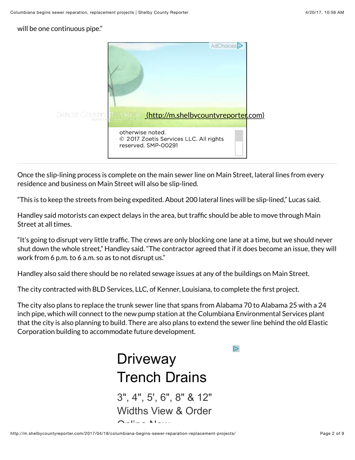will be one continuous pipe."



Once the slip-lining process is complete on the main sewer line on Main Street, lateral lines from every residence and business on Main Street will also be slip-lined.

"This is to keep the streets from being expedited. About 200 lateral lines will be slip-lined," Lucas said.

Handley said motorists can expect delays in the area, but traffic should be able to move through Main Street at all times.

"It's going to disrupt very little traffic. The crews are only blocking one lane at a time, but we should never shut down the whole street," Handley said. "The contractor agreed that if it does become an issue, they will work from 6 p.m. to 6 a.m. so as to not disrupt us."

Handley also said there should be no related sewage issues at any of the buildings on Main Street.

The city contracted with BLD Services, LLC, of Kenner, Louisiana, to complete the first project.

The city also plans to replace the trunk sewer line that spans from Alabama 70 to Alabama 25 with a 24 inch pipe, which will connect to the new pump station at the Columbiana Environmental Services plant that the city is also planning to build. There are also plans to extend the sewer line behind the old Elastic Corporation building to accommodate future development.

 $\mathbb{D}$ 

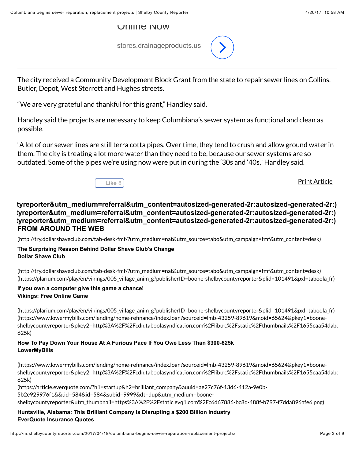## Online Now

stores.drainageproducts.us



The city received a Community Development Block Grant from the state to repair sewer lines on Collins, Butler, Depot, West Sterrett and Hughes streets.

"We are very grateful and thankful for this grant," Handley said.

Handley said the projects are necessary to keep Columbiana's sewer system as functional and clean as possible.

"A lot of our sewer lines are still terra cotta pipes. Over time, they tend to crush and allow ground water in them. The city is treating a lot more water than they need to be, because our sewer systems are so outdated. Some of the pipes we're using now were put in during the '30s and '40s," Handley said.



Print Article

# **FROM AROUND THE WEB tyreporter&utm\_medium=referral&utm\_content=autosized-generated-2r:autosized-generated-2r:) veporter&utm\_medium=referral&utm\_content=autosized-generated-2r:autosized-generated-2r:) preporter&utm\_medium=referral&utm\_content=autosized-generated-2r:autosized-generated-2r:)**

(http://try.dollarshaveclub.com/tab-desk-fmf/?utm\_medium=nat&utm\_source=tabo&utm\_campaign=fmf&utm\_content=desk)

### **Dollar Shave Club The Surprising Reason Behind Dollar Shave Club's Change**

(http://try.dollarshaveclub.com/tab-desk-fmf/?utm\_medium=nat&utm\_source=tabo&utm\_campaign=fmf&utm\_content=desk) (https://plarium.com/play/en/vikings/005\_village\_anim\_g?publisherID=boone-shelbycountyreporter&plid=101491&pxl=taboola\_fr)

### **Vikings: Free Online Game If you own a computer give this game a chance!**

(https://plarium.com/play/en/vikings/005\_village\_anim\_g?publisherID=boone-shelbycountyreporter&plid=101491&pxl=taboola\_fr) (https://www.lowermybills.com/lending/home-refinance/index.loan?sourceid=lmb-43259-89619&moid=65624&pkey1=booneshelbycountyreporter&pkey2=http%3A%2F%2Fcdn.taboolasyndication.com%2Flibtrc%2Fstatic%2Fthumbnails%2F1655caa54dabd 625k)

## **LowerMyBills How To Pay Down Your House At A Furious Pace If You Owe Less Than \$300-625k**

(https://www.lowermybills.com/lending/home-refinance/index.loan?sourceid=lmb-43259-89619&moid=65624&pkey1=booneshelbycountyreporter&pkey2=http%3A%2F%2Fcdn.taboolasyndication.com%2Flibtrc%2Fstatic%2Fthumbnails%2F1655caa54dabd 625k)

(https://article.everquote.com/?h1=startup&h2=brilliant\_company&auuid=ae27c76f-13d6-412a-9e0b-5b2e929976f1&&tid=584&id=584&subid=9999&dt=dup&utm\_medium=booneshelbycountyreporter&utm\_thumbnail=https%3A%2F%2Fstatic.evq1.com%2Fc6d67886-bc8d-488f-b797-f7dda896afe6.png)

## **EverQuote Insurance Quotes Huntsville, Alabama: This Brilliant Company Is Disrupting a \$200 Billion Industry**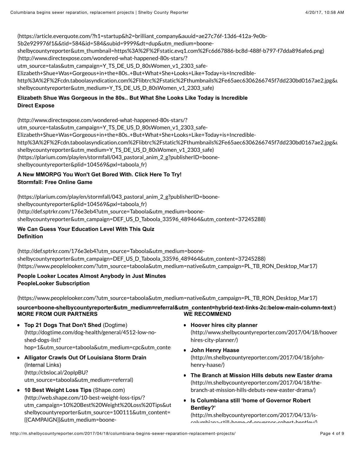(https://article.everquote.com/?h1=startup&h2=brilliant\_company&auuid=ae27c76f-13d6-412a-9e0b-

5b2e929976f1&&tid=584&id=584&subid=9999&dt=dup&utm\_medium=boone-

shelbycountyreporter&utm\_thumbnail=https%3A%2F%2Fstatic.evq1.com%2Fc6d67886-bc8d-488f-b797-f7dda896afe6.png)

(http://www.directexpose.com/wondered-what-happened-80s-stars/?

utm\_source=talas&utm\_campaign=Y\_TS\_DE\_US\_D\_80sWomen\_v1\_2303\_safe-

Elizabeth+Shue+Was+Gorgeous+in+the+80s..+But+What+She+Looks+Like+Today+is+Incredible-

http%3A%2F%2Fcdn.taboolasyndication.com%2Flibtrc%2Fstatic%2Fthumbnails%2Fe65aec6306266745f7dd230bd0167ae2.jpg&u shelbycountyreporter&utm\_medium=Y\_TS\_DE\_US\_D\_80sWomen\_v1\_2303\_safe)

## **Direct Expose Elizabeth Shue Was Gorgeous in the 80s.. But What She Looks Like Today is Incredible**

(http://www.directexpose.com/wondered-what-happened-80s-stars/? utm\_source=talas&utm\_campaign=Y\_TS\_DE\_US\_D\_80sWomen\_v1\_2303\_safe-Elizabeth+Shue+Was+Gorgeous+in+the+80s..+But+What+She+Looks+Like+Today+is+Incrediblehttp%3A%2F%2Fcdn.taboolasyndication.com%2Flibtrc%2Fstatic%2Fthumbnails%2Fe65aec6306266745f7dd230bd0167ae2.jpg&u shelbycountyreporter&utm\_medium=Y\_TS\_DE\_US\_D\_80sWomen\_v1\_2303\_safe) (https://plarium.com/play/en/stormfall/043\_pastoral\_anim\_2\_g?publisherID=booneshelbycountyreporter&plid=104569&pxl=taboola\_fr)

## **Stormfall: Free Online Game A New MMORPG You Won't Get Bored With. Click Here To Try!**

(https://plarium.com/play/en/stormfall/043\_pastoral\_anim\_2\_g?publisherID=booneshelbycountyreporter&plid=104569&pxl=taboola\_fr) (http://def.sptrkr.com/176e3eb4?utm\_source=Taboola&utm\_medium=booneshelbycountyreporter&utm\_campaign=DEF\_US\_D\_Taboola\_33596\_489464&utm\_content=37245288)

**We Can Guess Your Education Level With This Quiz Definition**

(http://def.sptrkr.com/176e3eb4?utm\_source=Taboola&utm\_medium=booneshelbycountyreporter&utm\_campaign=DEF\_US\_D\_Taboola\_33596\_489464&utm\_content=37245288) (https://www.peoplelooker.com/?utm\_source=taboola&utm\_medium=native&utm\_campaign=PL\_TB\_RON\_Desktop\_Mar17)

## **People Looker Locates Almost Anybody in Just Minutes PeopleLooker Subscription**

(https://www.peoplelooker.com/?utm\_source=taboola&utm\_medium=native&utm\_campaign=PL\_TB\_RON\_Desktop\_Mar17)

## **MORE FROM OUR PARTNERS WE RECOMMEND** source=boone-shelbycountyreporter&utm\_medium=referral&utm\_content=hybrid-text-links-2c:below-main-column-text:)

- **Top 21 Dogs That Don't Shed** (Dogtime) (http://dogtime.com/dog-health/general/4512-low-noshed-dogs-list? hop=1&utm\_source=taboola&utm\_medium=cpc&utm\_content
- **Alligator Crawls Out Of Louisiana Storm Drain** (Internal Links) (http://cbsloc.al/2opIpBU? utm\_source=taboola&utm\_medium=referral)
- **10 Best Weight Loss Tips** (Shape.com) (http://web.shape.com/10-best-weight-loss-tips/? utm\_campaign=10%20Best%20Weight%20Loss%20Tips&ut shelbycountyreporter&utm\_source=100111&utm\_content=1 {{CAMPAIGN}}&utm\_medium=boone-
- **Hoover hires city planner** (http://www.shelbycountyreporter.com/2017/04/18/hooverhires-city-planner/)
- **John Henry Haase** (http://m.shelbycountyreporter.com/2017/04/18/johnhenry-haase/)
- **The Branch at Mission Hills debuts new Easter drama** (http://m.shelbycountyreporter.com/2017/04/18/thebranch-at-mission-hills-debuts-new-easter-drama/)
- **Is Columbiana still 'home of Governor Robert Bentley?'**

(http://m.shelbycountyreporter.com/2017/04/13/iscolumbiana-still-home-of-governor-robert-bentley/)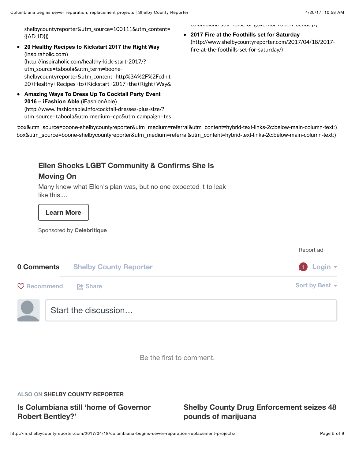shelbycountyreporter&utm\_source=100111&utm\_content=  $\{\{AD_1D\}\}\}\$ 

- **20 Healthy Recipes to Kickstart 2017 the Right Way** (inspiraholic.com) (http://inspiraholic.com/healthy-kick-start-2017/? utm\_source=taboola&utm\_term=booneshelbycountyreporter&utm\_content=http%3A%2F%2Fcdn.ta 20+Healthy+Recipes+to+Kickstart+2017+the+Right+Way&
- **Amazing Ways To Dress Up To Cocktail Party Event 2016 – iFashion Able** (iFashionAble) (http://www.ifashionable.info/cocktail-dresses-plus-size/? utm\_source=taboola&utm\_medium=cpc&utm\_campaign=tes

columbiana-still-home-of-governor-robert-bentley/)

**2017 Fire at the Foothills set for Saturday** (http://www.shelbycountyreporter.com/2017/04/18/2017 fire-at-the-foothills-set-for-saturday/)

box&utm\_source=boone-shelbycountyreporter&utm\_medium=referral&utm\_content=hybrid-text-links-2c:below-main-column-text:) box&utm\_source=boone-shelbycountyreporter&utm\_medium=referral&utm\_content=hybrid-text-links-2c:below-main-column-text:)

# **Ellen Shocks LGBT Community & Confirms She Is**

# **Moving On**

Many knew what Ellen's plan was, but no one expected it to leak like this....

## **Learn More**

Sponsored by **Celebritique**

|                        |                               | Report ad                |
|------------------------|-------------------------------|--------------------------|
| 0 Comments             | <b>Shelby County Reporter</b> | $\bigoplus$ Login $\tau$ |
| $\heartsuit$ Recommend | <b>Et</b> Share               | Sort by Best $\sim$      |
|                        | Start the discussion          |                          |

Be the first to comment.

#### **ALSO ON SHELBY COUNTY REPORTER**

# **Is Columbiana still 'home of Governor Robert Bentley?'**

# **Shelby County Drug Enforcement seizes 48 pounds of marijuana**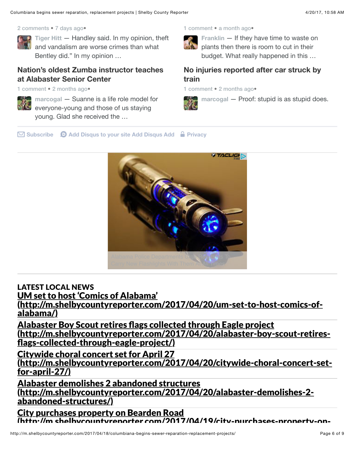#### 2 comments • 7 days ago•



**Tiger Hitt** — Handley said. In my opinion, theft and vandalism are worse crimes than what Bentley did." In my opinion …

# **Nation's oldest Zumba instructor teaches at Alabaster Senior Center**

1 comment • 2 months ago •



**marcogal** — Suanne is a life role model for everyone-young and those of us staying young. Glad she received the …

#### 1 comment • a month ago •



**Franklin** — If they have time to waste on plants then there is room to cut in their budget. What really happened in this …

# **No injuries reported after car struck by train**

1 comment • 2 months ago •



**marcogal** — Proof: stupid is as stupid does.

✉ **Subscribe** d **Add Disqus to your site Add Disqus Add** & **Privacy**



LATEST LOCAL NEWS UM set to host 'Comics of Alabama' (http://m.shelbycountyreporter.com/2017/04/20/um-set-to-host-comics-ofalabama/)

Alabaster Boy Scout retires flags collected through Eagle project (http://m.shelbycountyreporter.com/2017/04/20/alabaster-boy-scout-retiresflags-collected-through-eagle-project/)

Citywide choral concert set for April 27

(http://m.shelbycountyreporter.com/2017/04/20/citywide-choral-concert-setfor-april-27/)

Alabaster demolishes 2 abandoned structures (http://m.shelbycountyreporter.com/2017/04/20/alabaster-demolishes-2 abandoned-structures/)

City purchases property on Bearden Road (httn·//m.shelbycountyreporter.com/2017/04/19/city-purchases-property-on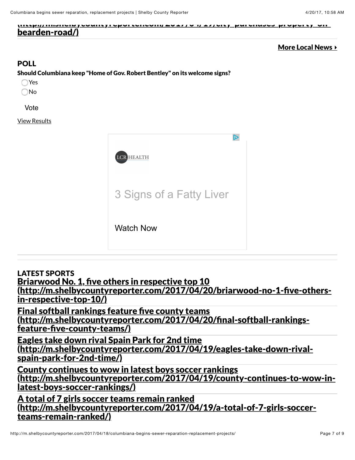(http://m.shelbycountyreporter.com/2017/04/19/city-purchases-property-onbearden-road/)

## More Local News **▸**

# POLL

Should Columbiana keep "Home of Gov. Robert Bentley" on its welcome signs?

Yes

No

Vote

View Results



LATEST SPORTS

Briarwood No. 1, five others in respective top 10

(http://m.shelbycountyreporter.com/2017/04/20/briarwood-no-1-five-othersin-respective-top-10/)

Final softball rankings feature five county teams (http://m.shelbycountyreporter.com/2017/04/20/final-softball-rankingsfeature-five-county-teams/)

Eagles take down rival Spain Park for 2nd time (http://m.shelbycountyreporter.com/2017/04/19/eagles-take-down-rivalspain-park-for-2nd-time/)

County continues to wow in latest boys soccer rankings (http://m.shelbycountyreporter.com/2017/04/19/county-continues-to-wow-inlatest-boys-soccer-rankings/)

A total of 7 girls soccer teams remain ranked (http://m.shelbycountyreporter.com/2017/04/19/a-total-of-7-girls-soccerteams-remain-ranked/)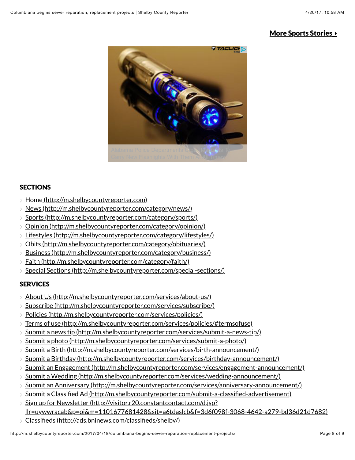# More Sports Stories **▸**



## **SECTIONS**

- Home (http://m.shelbycountyreporter.com)
- News (http://m.shelbycountyreporter.com/category/news/)
- > Sports (http://m.shelbycountyreporter.com/category/sports/)
- Opinion (http://m.shelbycountyreporter.com/category/opinion/)
- Lifestyles (http://m.shelbycountyreporter.com/category/lifestyles/)
- > Obits (http://m.shelbycountyreporter.com/category/obituaries/)
- Business (http://m.shelbycountyreporter.com/category/business/)
- Faith (http://m.shelbycountyreporter.com/category/faith/)
- Special Sections (http://m.shelbycountyreporter.com/special-sections/)

# **SERVICES**

- About Us (http://m.shelbycountyreporter.com/services/about-us/)
- Subscribe (http://m.shelbycountyreporter.com/services/subscribe/)
- Policies (http://m.shelbycountyreporter.com/services/policies/)
- Terms of use (http://m.shelbycountyreporter.com/services/policies/#termsofuse)
- Submit a news tip (http://m.shelbycountyreporter.com/services/submit-a-news-tip/)
- Submit a photo (http://m.shelbycountyreporter.com/services/submit-a-photo/)
- Submit a Birth (http://m.shelbycountyreporter.com/services/birth-announcement/)
- Submit a Birthday (http://m.shelbycountyreporter.com/services/birthday-announcement/)
- $>$  Submit an Engagement (http://m.shelbycountyreporter.com/services/engagement-announcement/)
- Submit a Wedding (http://m.shelbycountyreporter.com/services/wedding-announcement/)
- Submit an Anniversary (http://m.shelbycountyreporter.com/services/anniversary-announcement/)
- $>$  Submit a Classified Ad (http://m.shelbycountyreporter.com/submit-a-classified-advertisement)
- $>$  Sign up for Newsletter (http://visitor.r20.constantcontact.com/d.jsp? llr=uywwracab&p=oi&m=1101677681428&sit=a6tdaslcb&f=3d6f098f-3068-4642-a279-bd36d21d7682)
- Classifieds (http://ads.bninews.com/classifieds/shelby/)